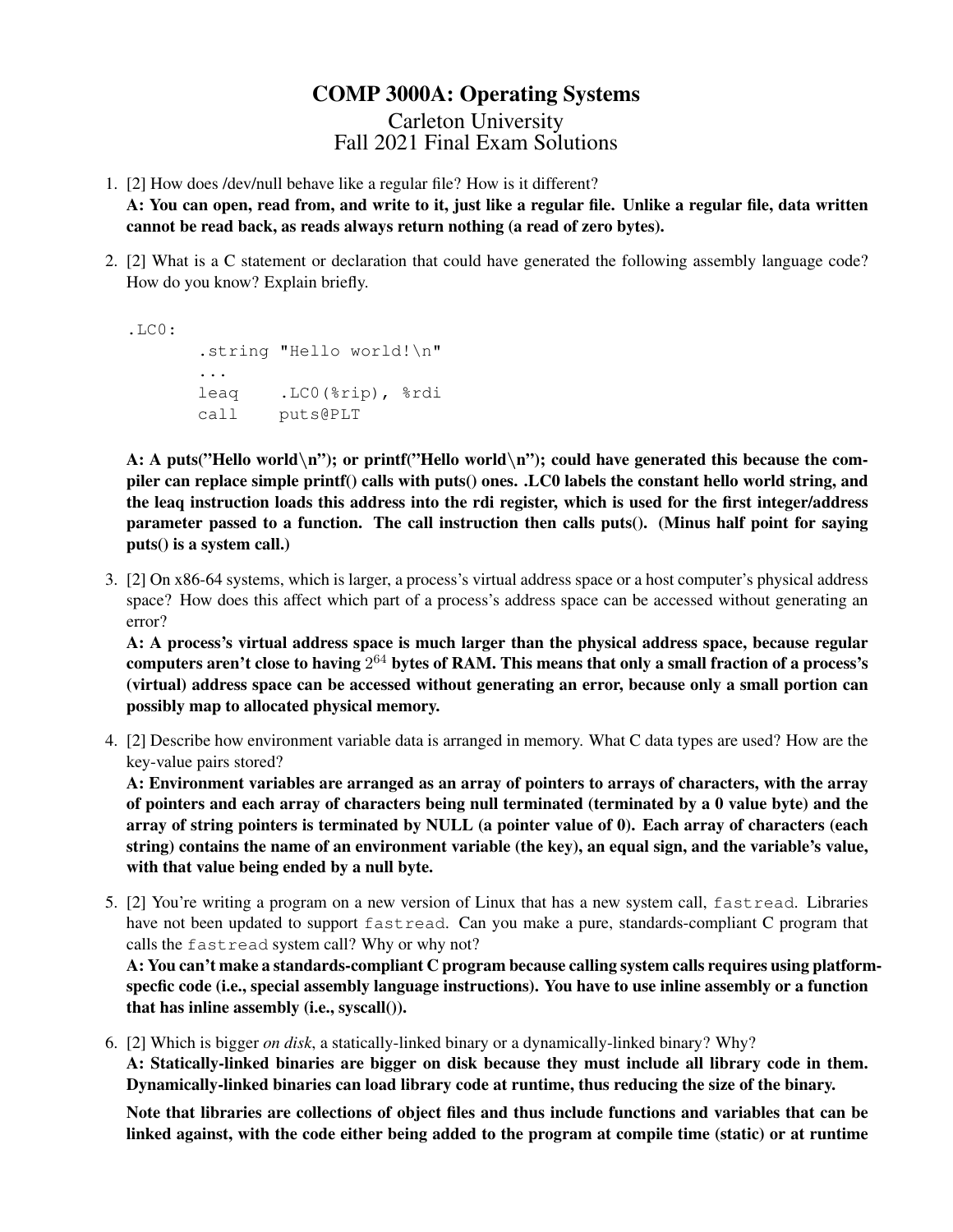## COMP 3000A: Operating Systems

Carleton University Fall 2021 Final Exam Solutions

- 1. [2] How does /dev/null behave like a regular file? How is it different? A: You can open, read from, and write to it, just like a regular file. Unlike a regular file, data written cannot be read back, as reads always return nothing (a read of zero bytes).
- 2. [2] What is a C statement or declaration that could have generated the following assembly language code? How do you know? Explain briefly.

```
.L.C.0:.string "Hello world!\n"
 ...
leaq .LC0(%rip), %rdi
call puts@PLT
```
A: A puts("Hello world\n"); or printf("Hello world\n"); could have generated this because the compiler can replace simple printf() calls with puts() ones. .LC0 labels the constant hello world string, and the leaq instruction loads this address into the rdi register, which is used for the first integer/address parameter passed to a function. The call instruction then calls puts(). (Minus half point for saying puts() is a system call.)

3. [2] On x86-64 systems, which is larger, a process's virtual address space or a host computer's physical address space? How does this affect which part of a process's address space can be accessed without generating an error?

A: A process's virtual address space is much larger than the physical address space, because regular computers aren't close to having  $2^{64}$  bytes of RAM. This means that only a small fraction of a process's (virtual) address space can be accessed without generating an error, because only a small portion can possibly map to allocated physical memory.

4. [2] Describe how environment variable data is arranged in memory. What C data types are used? How are the key-value pairs stored?

A: Environment variables are arranged as an array of pointers to arrays of characters, with the array of pointers and each array of characters being null terminated (terminated by a 0 value byte) and the array of string pointers is terminated by NULL (a pointer value of 0). Each array of characters (each string) contains the name of an environment variable (the key), an equal sign, and the variable's value, with that value being ended by a null byte.

5. [2] You're writing a program on a new version of Linux that has a new system call, fastread. Libraries have not been updated to support fastread. Can you make a pure, standards-compliant C program that calls the fastread system call? Why or why not?

A: You can't make a standards-compliant C program because calling system calls requires using platformspecfic code (i.e., special assembly language instructions). You have to use inline assembly or a function that has inline assembly (i.e., syscall()).

6. [2] Which is bigger *on disk*, a statically-linked binary or a dynamically-linked binary? Why? A: Statically-linked binaries are bigger on disk because they must include all library code in them. Dynamically-linked binaries can load library code at runtime, thus reducing the size of the binary.

Note that libraries are collections of object files and thus include functions and variables that can be linked against, with the code either being added to the program at compile time (static) or at runtime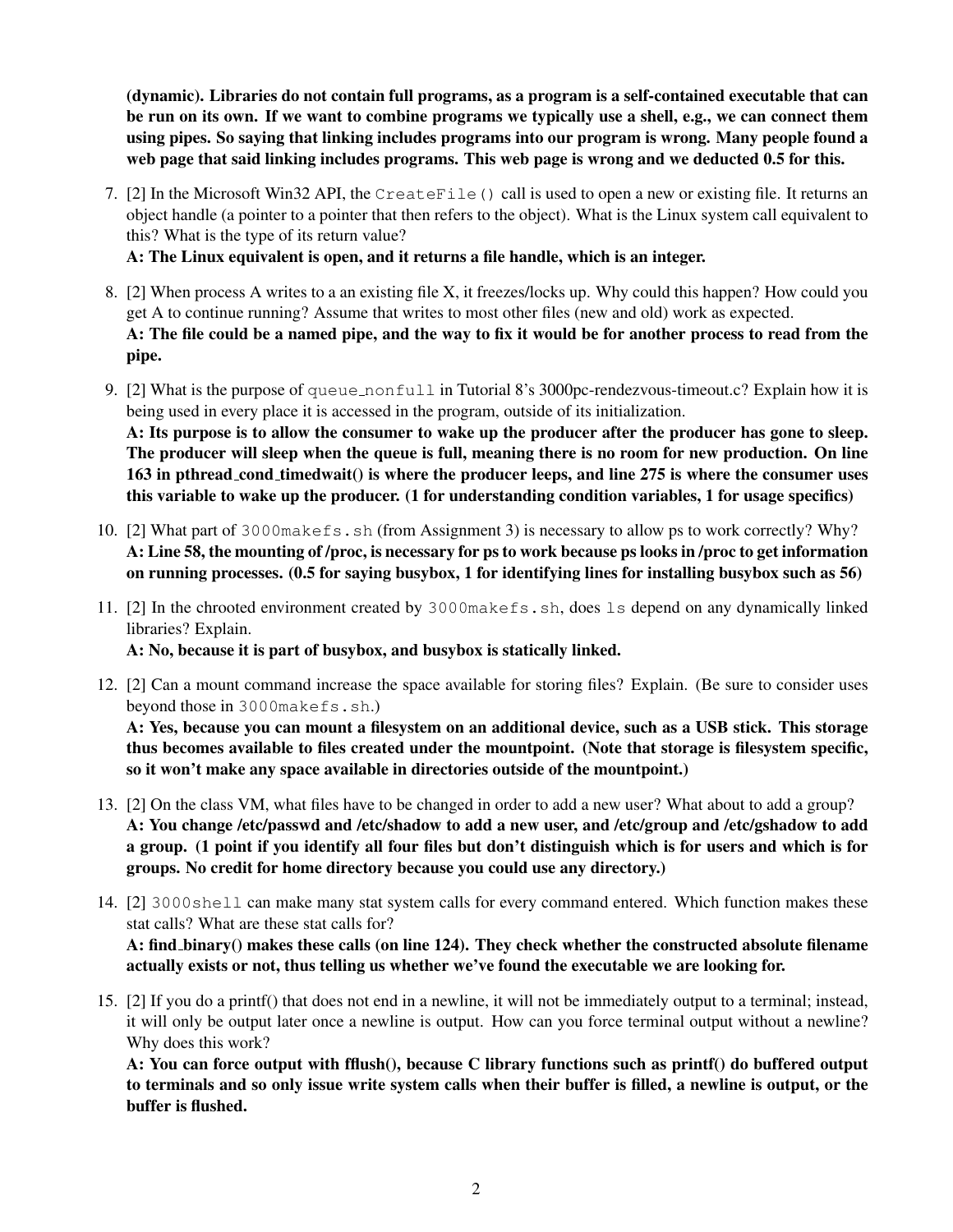(dynamic). Libraries do not contain full programs, as a program is a self-contained executable that can be run on its own. If we want to combine programs we typically use a shell, e.g., we can connect them using pipes. So saying that linking includes programs into our program is wrong. Many people found a web page that said linking includes programs. This web page is wrong and we deducted 0.5 for this.

7. [2] In the Microsoft Win32 API, the CreateFile() call is used to open a new or existing file. It returns an object handle (a pointer to a pointer that then refers to the object). What is the Linux system call equivalent to this? What is the type of its return value?

A: The Linux equivalent is open, and it returns a file handle, which is an integer.

- 8. [2] When process A writes to a an existing file X, it freezes/locks up. Why could this happen? How could you get A to continue running? Assume that writes to most other files (new and old) work as expected. A: The file could be a named pipe, and the way to fix it would be for another process to read from the pipe.
- 9. [2] What is the purpose of queue nonfull in Tutorial 8's 3000 pc-rendezvous-timeout.c? Explain how it is being used in every place it is accessed in the program, outside of its initialization. A: Its purpose is to allow the consumer to wake up the producer after the producer has gone to sleep. The producer will sleep when the queue is full, meaning there is no room for new production. On line 163 in pthread cond timedwait() is where the producer leeps, and line 275 is where the consumer uses this variable to wake up the producer. (1 for understanding condition variables, 1 for usage specifics)
- 10. [2] What part of 3000makefs.sh (from Assignment 3) is necessary to allow ps to work correctly? Why? A: Line 58, the mounting of /proc, is necessary for ps to work because ps looks in /proc to get information on running processes. (0.5 for saying busybox, 1 for identifying lines for installing busybox such as 56)
- 11. [2] In the chrooted environment created by 3000makefs.sh, does ls depend on any dynamically linked libraries? Explain.

A: No, because it is part of busybox, and busybox is statically linked.

12. [2] Can a mount command increase the space available for storing files? Explain. (Be sure to consider uses beyond those in 3000makefs.sh.)

A: Yes, because you can mount a filesystem on an additional device, such as a USB stick. This storage thus becomes available to files created under the mountpoint. (Note that storage is filesystem specific, so it won't make any space available in directories outside of the mountpoint.)

- 13. [2] On the class VM, what files have to be changed in order to add a new user? What about to add a group? A: You change /etc/passwd and /etc/shadow to add a new user, and /etc/group and /etc/gshadow to add a group. (1 point if you identify all four files but don't distinguish which is for users and which is for groups. No credit for home directory because you could use any directory.)
- 14. [2] 3000shell can make many stat system calls for every command entered. Which function makes these stat calls? What are these stat calls for? A: find binary() makes these calls (on line 124). They check whether the constructed absolute filename

actually exists or not, thus telling us whether we've found the executable we are looking for.

15. [2] If you do a printf() that does not end in a newline, it will not be immediately output to a terminal; instead, it will only be output later once a newline is output. How can you force terminal output without a newline? Why does this work?

A: You can force output with fflush(), because C library functions such as printf() do buffered output to terminals and so only issue write system calls when their buffer is filled, a newline is output, or the buffer is flushed.